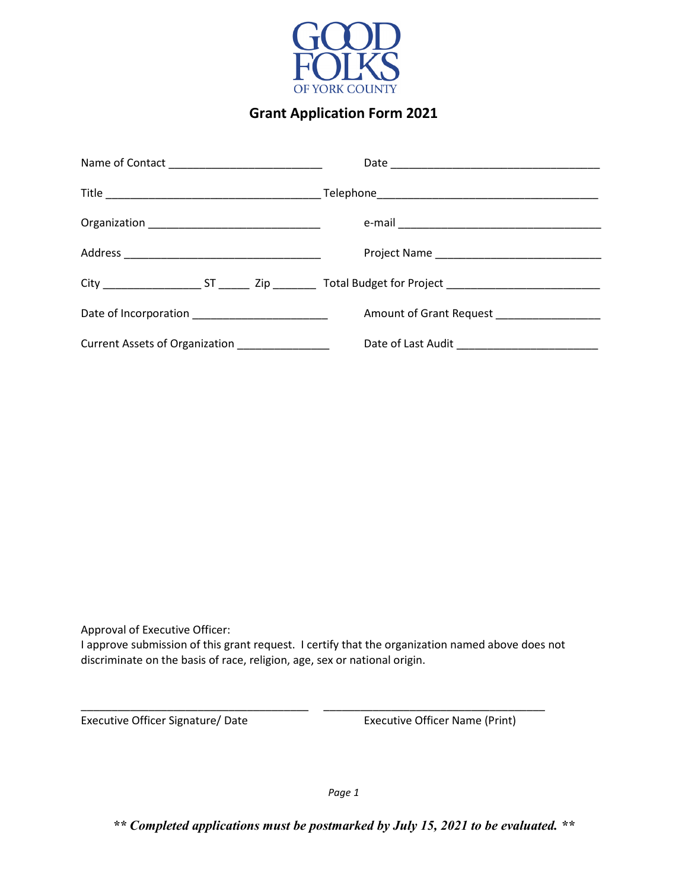

## **Grant Application Form 2021**

| Date of Incorporation __________________________ | Amount of Grant Request _________________ |  |
|--------------------------------------------------|-------------------------------------------|--|
| Current Assets of Organization ________________  | Date of Last Audit ____________________   |  |

Approval of Executive Officer:

I approve submission of this grant request. I certify that the organization named above does not discriminate on the basis of race, religion, age, sex or national origin.

\_\_\_\_\_\_\_\_\_\_\_\_\_\_\_\_\_\_\_\_\_\_\_\_\_\_\_\_\_\_\_\_\_\_\_\_\_ \_\_\_\_\_\_\_\_\_\_\_\_\_\_\_\_\_\_\_\_\_\_\_\_\_\_\_\_\_\_\_\_\_\_\_\_

Executive Officer Signature/ Date Executive Officer Name (Print)

*Page 1*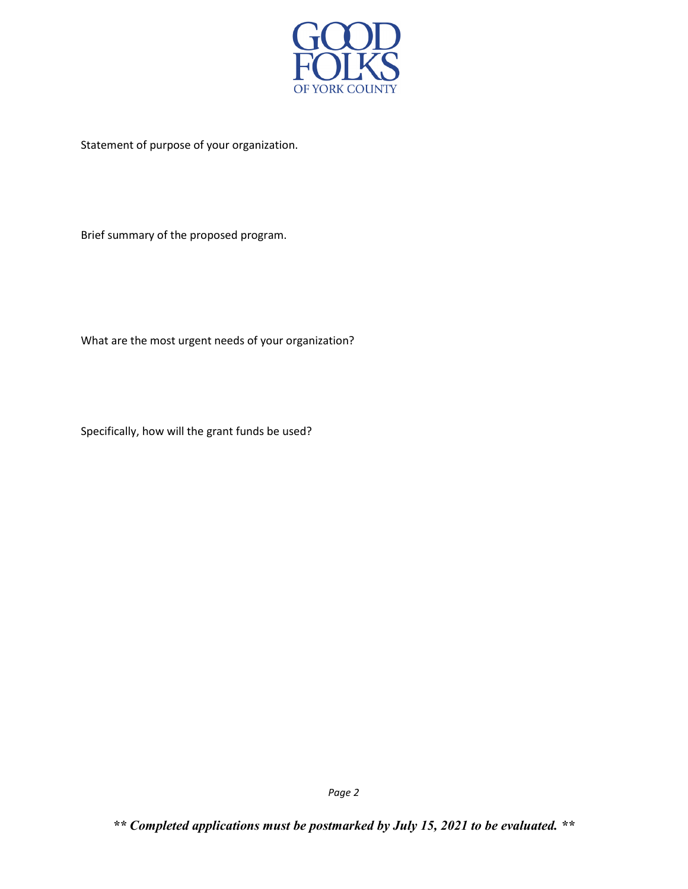

Statement of purpose of your organization.

Brief summary of the proposed program.

What are the most urgent needs of your organization?

Specifically, how will the grant funds be used?

*\*\* Completed applications must be postmarked by July 15, 2021 to be evaluated. \*\**

*Page 2*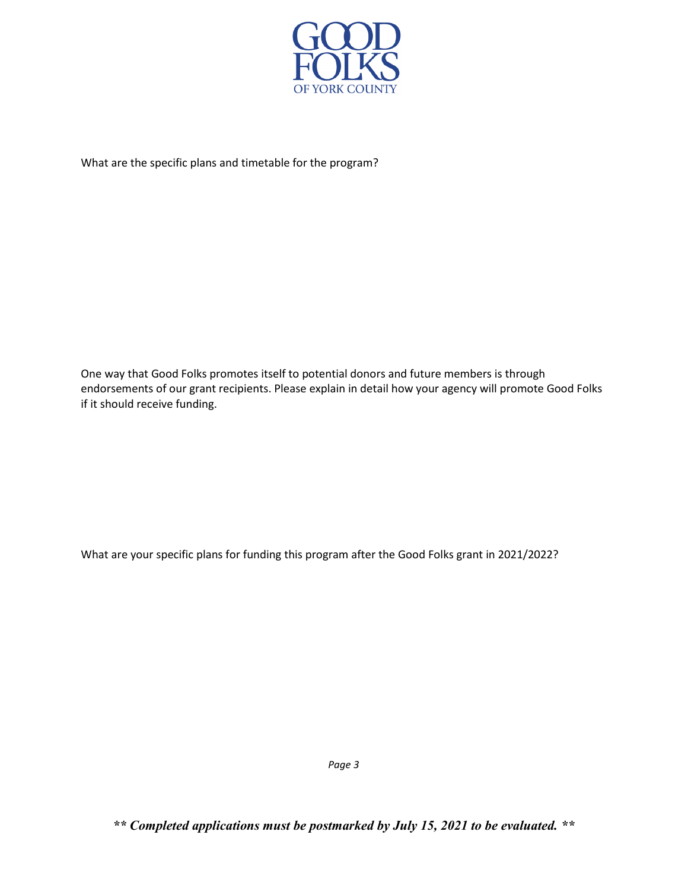

What are the specific plans and timetable for the program?

One way that Good Folks promotes itself to potential donors and future members is through endorsements of our grant recipients. Please explain in detail how your agency will promote Good Folks if it should receive funding.

What are your specific plans for funding this program after the Good Folks grant in 2021/2022?

*Page 3*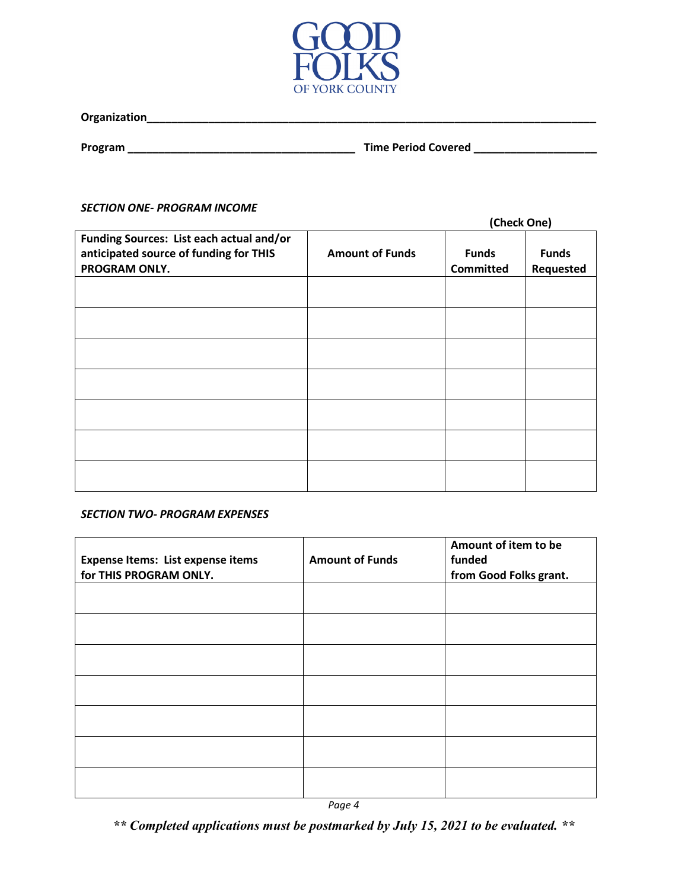

**Program \_\_\_\_\_\_\_\_\_\_\_\_\_\_\_\_\_\_\_\_\_\_\_\_\_\_\_\_\_\_\_\_\_\_\_\_\_ Time Period Covered \_\_\_\_\_\_\_\_\_\_\_\_\_\_\_\_\_\_\_\_**

## *SECTION ONE- PROGRAM INCOME*

|                                          |                        | (Check One)      |              |
|------------------------------------------|------------------------|------------------|--------------|
| Funding Sources: List each actual and/or |                        |                  |              |
| anticipated source of funding for THIS   | <b>Amount of Funds</b> | <b>Funds</b>     | <b>Funds</b> |
| PROGRAM ONLY.                            |                        | <b>Committed</b> | Requested    |
|                                          |                        |                  |              |
|                                          |                        |                  |              |
|                                          |                        |                  |              |
|                                          |                        |                  |              |
|                                          |                        |                  |              |
|                                          |                        |                  |              |
|                                          |                        |                  |              |
|                                          |                        |                  |              |
|                                          |                        |                  |              |
|                                          |                        |                  |              |
|                                          |                        |                  |              |
|                                          |                        |                  |              |
|                                          |                        |                  |              |
|                                          |                        |                  |              |

## *SECTION TWO- PROGRAM EXPENSES*

| <b>Expense Items: List expense items</b><br>for THIS PROGRAM ONLY. | <b>Amount of Funds</b> | Amount of item to be<br>funded<br>from Good Folks grant. |
|--------------------------------------------------------------------|------------------------|----------------------------------------------------------|
|                                                                    |                        |                                                          |
|                                                                    |                        |                                                          |
|                                                                    |                        |                                                          |
|                                                                    |                        |                                                          |
|                                                                    |                        |                                                          |
|                                                                    |                        |                                                          |
|                                                                    |                        |                                                          |

*Page 4*